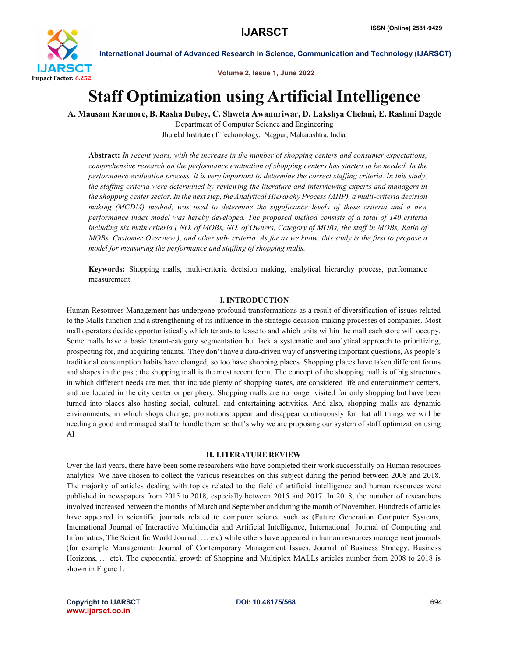

Volume 2, Issue 1, June 2022

# Staff Optimization using Artificial Intelligence

A. Mausam Karmore, B. Rasha Dubey, C. Shweta Awanuriwar, D. Lakshya Chelani, E. Rashmi Dagde

Department of Computer Science and Engineering Jhulelal Institute of Techonology, Nagpur, Maharashtra, India.

Abstract: *In recent years, with the increase in the number of shopping centers and consumer expectations, comprehensive research on the performance evaluation of shopping centers has started to be needed. In the performance evaluation process, it is very important to determine the correct staffing criteria. In this study, the staffing criteria were determined by reviewing the literature and interviewing experts and managers in the shopping center sector. In the next step, the Analytical Hierarchy Process (AHP), a multi-criteria decision making (MCDM) method, was used to determine the significance levels of these criteria and a new performance index model was hereby developed. The proposed method consists of a total of 140 criteria including six main criteria ( NO. of MOBs, NO. of Owners, Category of MOBs, the staff in MOBs, Ratio of MOBs, Customer Overview.), and other sub- criteria. As far as we know, this study is the first to propose a model for measuring the performance and staffing of shopping malls.*

Keywords: Shopping malls, multi-criteria decision making, analytical hierarchy process, performance measurement.

# I. INTRODUCTION

Human Resources Management has undergone profound transformations as a result of diversification of issues related to the Malls function and a strengthening of its influence in the strategic decision-making processes of companies. Most mall operators decide opportunistically which tenants to lease to and which units within the mall each store will occupy. Some malls have a basic tenant-category segmentation but lack a systematic and analytical approach to prioritizing, prospecting for, and acquiring tenants. They don't have a data-driven way of answering important questions, As people's traditional consumption habits have changed, so too have shopping places. Shopping places have taken different forms and shapes in the past; the shopping mall is the most recent form. The concept of the shopping mall is of big structures in which different needs are met, that include plenty of shopping stores, are considered life and entertainment centers, and are located in the city center or periphery. Shopping malls are no longer visited for only shopping but have been turned into places also hosting social, cultural, and entertaining activities. And also, shopping malls are dynamic environments, in which shops change, promotions appear and disappear continuously for that all things we will be needing a good and managed staff to handle them so that's why we are proposing our system of staff optimization using AI

#### II. LITERATURE REVIEW

Over the last years, there have been some researchers who have completed their work successfully on Human resources analytics. We have chosen to collect the various researches on this subject during the period between 2008 and 2018. The majority of articles dealing with topics related to the field of artificial intelligence and human resources were published in newspapers from 2015 to 2018, especially between 2015 and 2017. In 2018, the number of researchers involved increased between the months of March and September and during the month of November. Hundreds of articles have appeared in scientific journals related to computer science such as (Future Generation Computer Systems, International Journal of Interactive Multimedia and Artificial Intelligence, International Journal of Computing and Informatics, The Scientific World Journal, … etc) while others have appeared in human resources management journals (for example Management: Journal of Contemporary Management Issues, Journal of Business Strategy, Business Horizons, … etc). The exponential growth of Shopping and Multiplex MALLs articles number from 2008 to 2018 is shown in Figure 1.

Copyright to IJARSCT **DOI: 10.48175/568** 694 www.ijarsct.co.in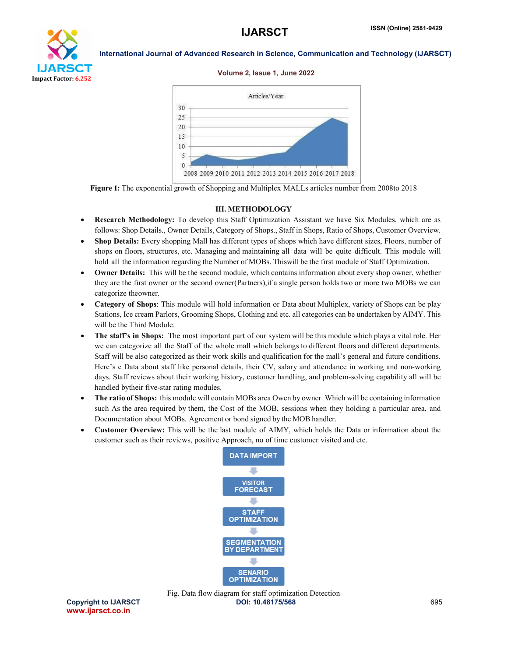

#### Volume 2, Issue 1, June 2022



Figure 1: The exponential growth of Shopping and Multiplex MALLs articles number from 2008to 2018

#### III. METHODOLOGY

- Research Methodology: To develop this Staff Optimization Assistant we have Six Modules, which are as follows: Shop Details., Owner Details, Category of Shops., Staff in Shops, Ratio of Shops, Customer Overview.
- Shop Details: Every shopping Mall has different types of shops which have different sizes, Floors, number of shops on floors, structures, etc. Managing and maintaining all data will be quite difficult. This module will hold all the information regarding the Number of MOBs. Thiswill be the first module of Staff Optimization.
- Owner Details: This will be the second module, which contains information about every shop owner, whether they are the first owner or the second owner(Partners),if a single person holds two or more two MOBs we can categorize theowner.
- Category of Shops: This module will hold information or Data about Multiplex, variety of Shops can be play Stations, Ice cream Parlors, Grooming Shops, Clothing and etc. all categories can be undertaken by AIMY. This will be the Third Module.
- The staff's in Shops: The most important part of our system will be this module which plays a vital role. Her we can categorize all the Staff of the whole mall which belongs to different floors and different departments. Staff will be also categorized as their work skills and qualification for the mall's general and future conditions. Here's e Data about staff like personal details, their CV, salary and attendance in working and non-working days. Staff reviews about their working history, customer handling, and problem-solving capability all will be handled bytheir five-star rating modules.
- The ratio of Shops: this module will contain MOBs area Owen by owner. Which will be containing information such As the area required by them, the Cost of the MOB, sessions when they holding a particular area, and Documentation about MOBs. Agreement or bond signed by the MOB handler.
- Customer Overview: This will be the last module of AIMY, which holds the Data or information about the customer such as their reviews, positive Approach, no of time customer visited and etc.

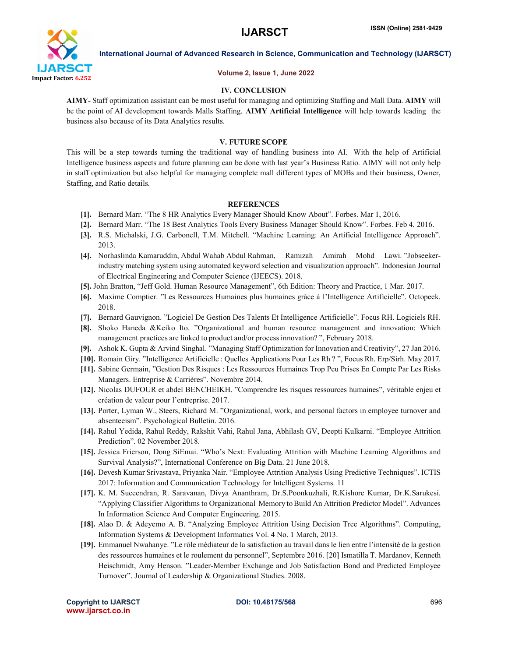

#### Volume 2, Issue 1, June 2022

# IV. CONCLUSION

AIMY- Staff optimization assistant can be most useful for managing and optimizing Staffing and Mall Data. AIMY will be the point of AI development towards Malls Staffing. AIMY Artificial Intelligence will help towards leading the business also because of its Data Analytics results.

#### V. FUTURE SCOPE

This will be a step towards turning the traditional way of handling business into AI. With the help of Artificial Intelligence business aspects and future planning can be done with last year's Business Ratio. AIMY will not only help in staff optimization but also helpful for managing complete mall different types of MOBs and their business, Owner, Staffing, and Ratio details.

#### **REFERENCES**

- [1]. Bernard Marr. "The 8 HR Analytics Every Manager Should Know About". Forbes. Mar 1, 2016.
- [2]. Bernard Marr. "The 18 Best Analytics Tools Every Business Manager Should Know". Forbes. Feb 4, 2016.
- [3]. R.S. Michalski, J.G. Carbonell, T.M. Mitchell. "Machine Learning: An Artificial Intelligence Approach". 2013.
- [4]. Norhaslinda Kamaruddin, Abdul Wahab Abdul Rahman, Ramizah Amirah Mohd Lawi. "Jobseekerindustry matching system using automated keyword selection and visualization approach". Indonesian Journal of Electrical Engineering and Computer Science (IJEECS). 2018.
- [5]. John Bratton, "Jeff Gold. Human Resource Management", 6th Edition: Theory and Practice, 1 Mar. 2017.
- [6]. Maxime Comptier. "Les Ressources Humaines plus humaines grâce à l'Intelligence Artificielle". Octopeek. 2018.
- [7]. Bernard Gauvignon. "Logiciel De Gestion Des Talents Et Intelligence Artificielle". Focus RH. Logiciels RH.
- [8]. Shoko Haneda &Keiko Ito. "Organizational and human resource management and innovation: Which management practices are linked to product and/or processinnovation? ", February 2018.
- [9]. Ashok K. Gupta & Arvind Singhal. "Managing Staff Optimization for Innovation and Creativity", 27 Jan 2016.
- [10]. Romain Giry. "Intelligence Artificielle : Quelles Applications Pour Les Rh ? ", Focus Rh. Erp/Sirh. May 2017.
- [11]. Sabine Germain, "Gestion Des Risques : Les Ressources Humaines Trop Peu Prises En Compte Par Les Risks Managers. Entreprise & Carrières". Novembre 2014.
- [12]. Nicolas DUFOUR et abdel BENCHEIKH. "Comprendre les risques ressources humaines", véritable enjeu et création de valeur pour l'entreprise. 2017.
- [13]. Porter, Lyman W., Steers, Richard M. "Organizational, work, and personal factors in employee turnover and absenteeism". Psychological Bulletin. 2016.
- [14]. Rahul Yedida, Rahul Reddy, Rakshit Vahi, Rahul Jana, Abhilash GV, Deepti Kulkarni. "Employee Attrition Prediction". 02 November 2018.
- [15]. Jessica Frierson, Dong SiEmai. "Who's Next: Evaluating Attrition with Machine Learning Algorithms and Survival Analysis?", International Conference on Big Data. 21 June 2018.
- [16]. Devesh Kumar Srivastava, Priyanka Nair. "Employee Attrition Analysis Using Predictive Techniques". ICTIS 2017: Information and Communication Technology for Intelligent Systems. 11
- [17]. K. M. Suceendran, R. Saravanan, Divya Ananthram, Dr.S.Poonkuzhali, R.Kishore Kumar, Dr.K.Sarukesi. "Applying Classifier Algorithms to Organizational Memory toBuild An Attrition Predictor Model". Advances In Information Science And Computer Engineering. 2015.
- [18]. Alao D. & Adeyemo A. B. "Analyzing Employee Attrition Using Decision Tree Algorithms". Computing, Information Systems & Development Informatics Vol. 4 No. 1 March, 2013.
- [19]. Emmanuel Nwahanye. "Le rôle médiateur de la satisfaction au travail dans le lien entre l'intensité de la gestion des ressources humaines et le roulement du personnel", Septembre 2016. [20] Ismatilla T. Mardanov, Kenneth Heischmidt, Amy Henson. "Leader-Member Exchange and Job Satisfaction Bond and Predicted Employee Turnover". Journal of Leadership & Organizational Studies. 2008.